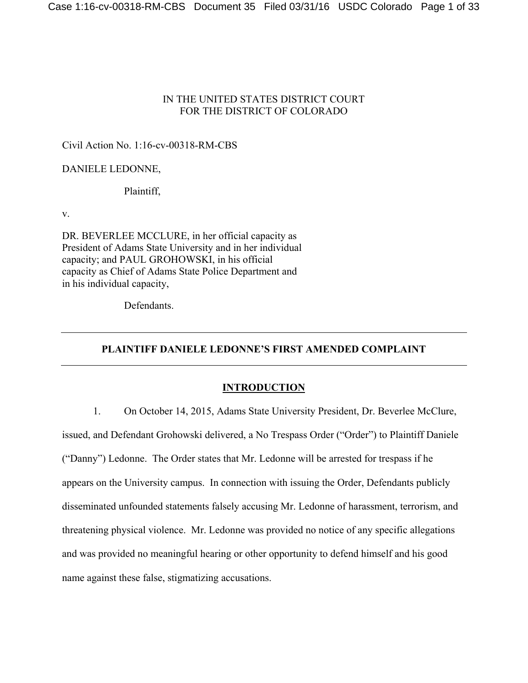# IN THE UNITED STATES DISTRICT COURT FOR THE DISTRICT OF COLORADO

# Civil Action No. 1:16-cv-00318-RM-CBS

# DANIELE LEDONNE,

# Plaintiff,

v.

DR. BEVERLEE MCCLURE, in her official capacity as President of Adams State University and in her individual capacity; and PAUL GROHOWSKI, in his official capacity as Chief of Adams State Police Department and in his individual capacity,

Defendants.

# **PLAINTIFF DANIELE LEDONNE'S FIRST AMENDED COMPLAINT**

# **INTRODUCTION**

1. On October 14, 2015, Adams State University President, Dr. Beverlee McClure, issued, and Defendant Grohowski delivered, a No Trespass Order ("Order") to Plaintiff Daniele ("Danny") Ledonne. The Order states that Mr. Ledonne will be arrested for trespass if he appears on the University campus. In connection with issuing the Order, Defendants publicly disseminated unfounded statements falsely accusing Mr. Ledonne of harassment, terrorism, and threatening physical violence. Mr. Ledonne was provided no notice of any specific allegations and was provided no meaningful hearing or other opportunity to defend himself and his good name against these false, stigmatizing accusations.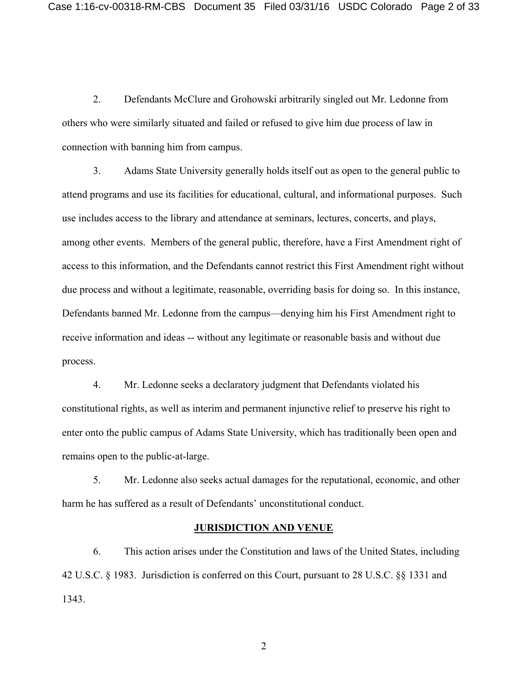2. Defendants McClure and Grohowski arbitrarily singled out Mr. Ledonne from others who were similarly situated and failed or refused to give him due process of law in connection with banning him from campus.

3. Adams State University generally holds itself out as open to the general public to attend programs and use its facilities for educational, cultural, and informational purposes. Such use includes access to the library and attendance at seminars, lectures, concerts, and plays, among other events. Members of the general public, therefore, have a First Amendment right of access to this information, and the Defendants cannot restrict this First Amendment right without due process and without a legitimate, reasonable, overriding basis for doing so. In this instance, Defendants banned Mr. Ledonne from the campus—denying him his First Amendment right to receive information and ideas -- without any legitimate or reasonable basis and without due process.

4. Mr. Ledonne seeks a declaratory judgment that Defendants violated his constitutional rights, as well as interim and permanent injunctive relief to preserve his right to enter onto the public campus of Adams State University, which has traditionally been open and remains open to the public-at-large.

5. Mr. Ledonne also seeks actual damages for the reputational, economic, and other harm he has suffered as a result of Defendants' unconstitutional conduct.

# **JURISDICTION AND VENUE**

6. This action arises under the Constitution and laws of the United States, including 42 U.S.C. § 1983. Jurisdiction is conferred on this Court, pursuant to 28 U.S.C. §§ 1331 and 1343.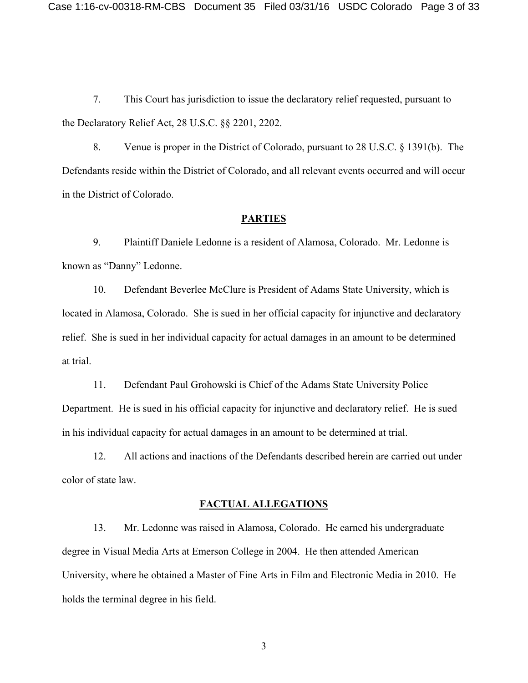7. This Court has jurisdiction to issue the declaratory relief requested, pursuant to the Declaratory Relief Act, 28 U.S.C. §§ 2201, 2202.

8. Venue is proper in the District of Colorado, pursuant to 28 U.S.C. § 1391(b). The Defendants reside within the District of Colorado, and all relevant events occurred and will occur in the District of Colorado.

#### **PARTIES**

9. Plaintiff Daniele Ledonne is a resident of Alamosa, Colorado. Mr. Ledonne is known as "Danny" Ledonne.

10. Defendant Beverlee McClure is President of Adams State University, which is located in Alamosa, Colorado. She is sued in her official capacity for injunctive and declaratory relief. She is sued in her individual capacity for actual damages in an amount to be determined at trial.

11. Defendant Paul Grohowski is Chief of the Adams State University Police Department. He is sued in his official capacity for injunctive and declaratory relief. He is sued in his individual capacity for actual damages in an amount to be determined at trial.

12. All actions and inactions of the Defendants described herein are carried out under color of state law.

### **FACTUAL ALLEGATIONS**

13. Mr. Ledonne was raised in Alamosa, Colorado. He earned his undergraduate degree in Visual Media Arts at Emerson College in 2004. He then attended American University, where he obtained a Master of Fine Arts in Film and Electronic Media in 2010. He holds the terminal degree in his field.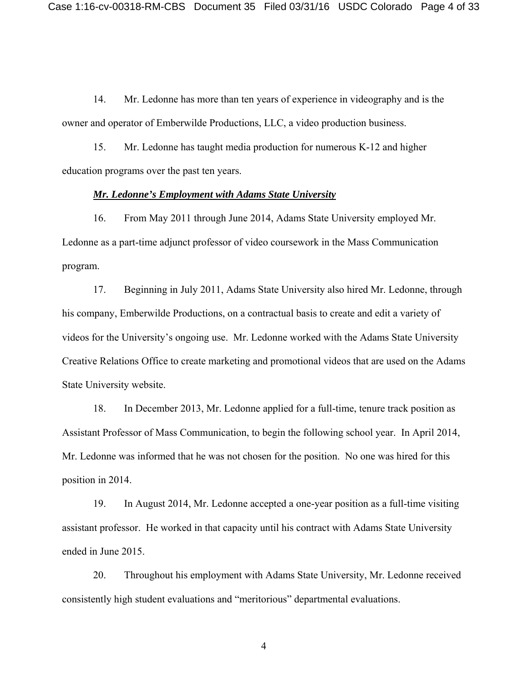14. Mr. Ledonne has more than ten years of experience in videography and is the owner and operator of Emberwilde Productions, LLC, a video production business.

15. Mr. Ledonne has taught media production for numerous K-12 and higher education programs over the past ten years.

## *Mr. Ledonne's Employment with Adams State University*

16. From May 2011 through June 2014, Adams State University employed Mr. Ledonne as a part-time adjunct professor of video coursework in the Mass Communication program.

17. Beginning in July 2011, Adams State University also hired Mr. Ledonne, through his company, Emberwilde Productions, on a contractual basis to create and edit a variety of videos for the University's ongoing use. Mr. Ledonne worked with the Adams State University Creative Relations Office to create marketing and promotional videos that are used on the Adams State University website.

18. In December 2013, Mr. Ledonne applied for a full-time, tenure track position as Assistant Professor of Mass Communication, to begin the following school year. In April 2014, Mr. Ledonne was informed that he was not chosen for the position. No one was hired for this position in 2014.

19. In August 2014, Mr. Ledonne accepted a one-year position as a full-time visiting assistant professor. He worked in that capacity until his contract with Adams State University ended in June 2015.

20. Throughout his employment with Adams State University, Mr. Ledonne received consistently high student evaluations and "meritorious" departmental evaluations.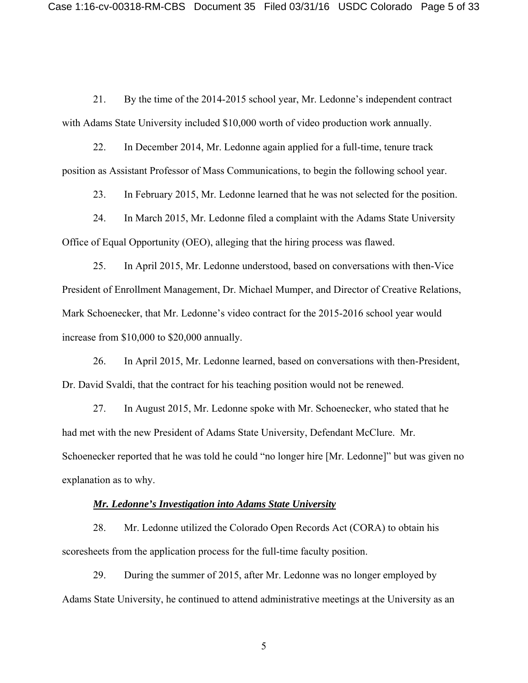21. By the time of the 2014-2015 school year, Mr. Ledonne's independent contract with Adams State University included \$10,000 worth of video production work annually.

22. In December 2014, Mr. Ledonne again applied for a full-time, tenure track position as Assistant Professor of Mass Communications, to begin the following school year.

23. In February 2015, Mr. Ledonne learned that he was not selected for the position.

24. In March 2015, Mr. Ledonne filed a complaint with the Adams State University Office of Equal Opportunity (OEO), alleging that the hiring process was flawed.

25. In April 2015, Mr. Ledonne understood, based on conversations with then-Vice President of Enrollment Management, Dr. Michael Mumper, and Director of Creative Relations, Mark Schoenecker, that Mr. Ledonne's video contract for the 2015-2016 school year would increase from \$10,000 to \$20,000 annually.

26. In April 2015, Mr. Ledonne learned, based on conversations with then-President, Dr. David Svaldi, that the contract for his teaching position would not be renewed.

27. In August 2015, Mr. Ledonne spoke with Mr. Schoenecker, who stated that he had met with the new President of Adams State University, Defendant McClure. Mr. Schoenecker reported that he was told he could "no longer hire [Mr. Ledonne]" but was given no explanation as to why.

#### *Mr. Ledonne's Investigation into Adams State University*

28. Mr. Ledonne utilized the Colorado Open Records Act (CORA) to obtain his scoresheets from the application process for the full-time faculty position.

29. During the summer of 2015, after Mr. Ledonne was no longer employed by Adams State University, he continued to attend administrative meetings at the University as an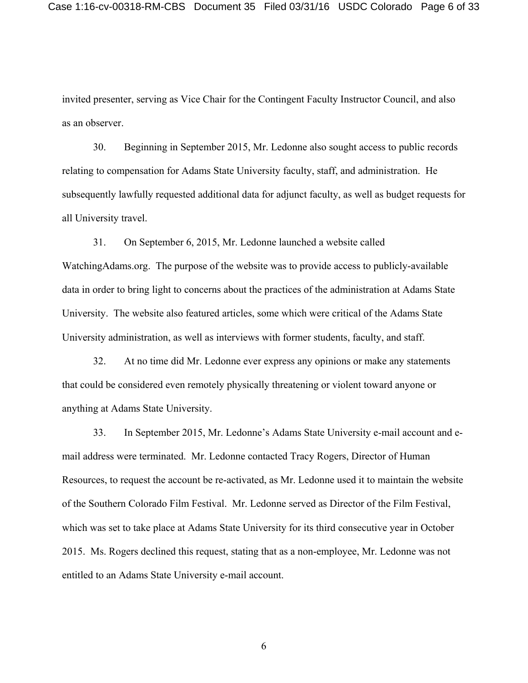invited presenter, serving as Vice Chair for the Contingent Faculty Instructor Council, and also as an observer.

30. Beginning in September 2015, Mr. Ledonne also sought access to public records relating to compensation for Adams State University faculty, staff, and administration. He subsequently lawfully requested additional data for adjunct faculty, as well as budget requests for all University travel.

31. On September 6, 2015, Mr. Ledonne launched a website called WatchingAdams.org. The purpose of the website was to provide access to publicly-available data in order to bring light to concerns about the practices of the administration at Adams State University. The website also featured articles, some which were critical of the Adams State University administration, as well as interviews with former students, faculty, and staff.

32. At no time did Mr. Ledonne ever express any opinions or make any statements that could be considered even remotely physically threatening or violent toward anyone or anything at Adams State University.

33. In September 2015, Mr. Ledonne's Adams State University e-mail account and email address were terminated. Mr. Ledonne contacted Tracy Rogers, Director of Human Resources, to request the account be re-activated, as Mr. Ledonne used it to maintain the website of the Southern Colorado Film Festival. Mr. Ledonne served as Director of the Film Festival, which was set to take place at Adams State University for its third consecutive year in October 2015. Ms. Rogers declined this request, stating that as a non-employee, Mr. Ledonne was not entitled to an Adams State University e-mail account.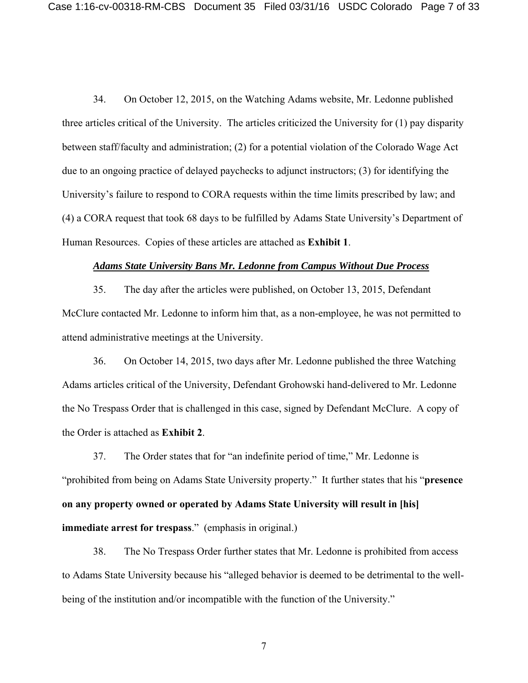34. On October 12, 2015, on the Watching Adams website, Mr. Ledonne published three articles critical of the University. The articles criticized the University for (1) pay disparity between staff/faculty and administration; (2) for a potential violation of the Colorado Wage Act due to an ongoing practice of delayed paychecks to adjunct instructors; (3) for identifying the University's failure to respond to CORA requests within the time limits prescribed by law; and (4) a CORA request that took 68 days to be fulfilled by Adams State University's Department of Human Resources. Copies of these articles are attached as **Exhibit 1**.

#### *Adams State University Bans Mr. Ledonne from Campus Without Due Process*

35. The day after the articles were published, on October 13, 2015, Defendant McClure contacted Mr. Ledonne to inform him that, as a non-employee, he was not permitted to attend administrative meetings at the University.

36. On October 14, 2015, two days after Mr. Ledonne published the three Watching Adams articles critical of the University, Defendant Grohowski hand-delivered to Mr. Ledonne the No Trespass Order that is challenged in this case, signed by Defendant McClure. A copy of the Order is attached as **Exhibit 2**.

37. The Order states that for "an indefinite period of time," Mr. Ledonne is "prohibited from being on Adams State University property." It further states that his "**presence on any property owned or operated by Adams State University will result in [his] immediate arrest for trespass**." (emphasis in original.)

38. The No Trespass Order further states that Mr. Ledonne is prohibited from access to Adams State University because his "alleged behavior is deemed to be detrimental to the wellbeing of the institution and/or incompatible with the function of the University."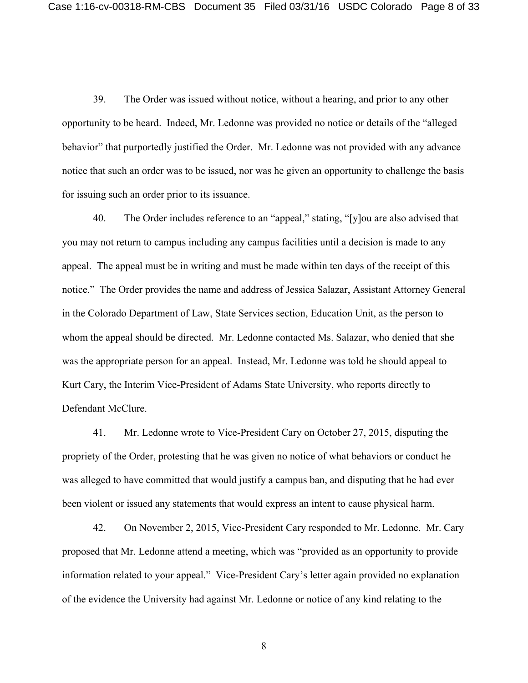39. The Order was issued without notice, without a hearing, and prior to any other opportunity to be heard. Indeed, Mr. Ledonne was provided no notice or details of the "alleged behavior" that purportedly justified the Order. Mr. Ledonne was not provided with any advance notice that such an order was to be issued, nor was he given an opportunity to challenge the basis for issuing such an order prior to its issuance.

40. The Order includes reference to an "appeal," stating, "[y]ou are also advised that you may not return to campus including any campus facilities until a decision is made to any appeal. The appeal must be in writing and must be made within ten days of the receipt of this notice." The Order provides the name and address of Jessica Salazar, Assistant Attorney General in the Colorado Department of Law, State Services section, Education Unit, as the person to whom the appeal should be directed. Mr. Ledonne contacted Ms. Salazar, who denied that she was the appropriate person for an appeal. Instead, Mr. Ledonne was told he should appeal to Kurt Cary, the Interim Vice-President of Adams State University, who reports directly to Defendant McClure.

41. Mr. Ledonne wrote to Vice-President Cary on October 27, 2015, disputing the propriety of the Order, protesting that he was given no notice of what behaviors or conduct he was alleged to have committed that would justify a campus ban, and disputing that he had ever been violent or issued any statements that would express an intent to cause physical harm.

42. On November 2, 2015, Vice-President Cary responded to Mr. Ledonne. Mr. Cary proposed that Mr. Ledonne attend a meeting, which was "provided as an opportunity to provide information related to your appeal." Vice-President Cary's letter again provided no explanation of the evidence the University had against Mr. Ledonne or notice of any kind relating to the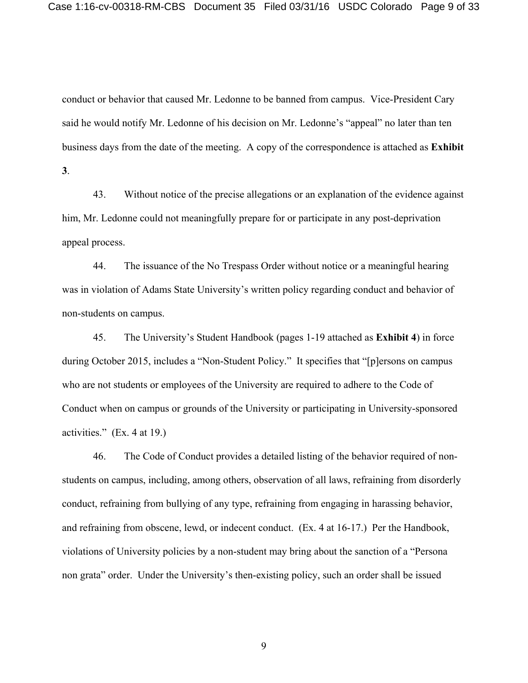conduct or behavior that caused Mr. Ledonne to be banned from campus. Vice-President Cary said he would notify Mr. Ledonne of his decision on Mr. Ledonne's "appeal" no later than ten business days from the date of the meeting. A copy of the correspondence is attached as **Exhibit 3**.

43. Without notice of the precise allegations or an explanation of the evidence against him, Mr. Ledonne could not meaningfully prepare for or participate in any post-deprivation appeal process.

44. The issuance of the No Trespass Order without notice or a meaningful hearing was in violation of Adams State University's written policy regarding conduct and behavior of non-students on campus.

45. The University's Student Handbook (pages 1-19 attached as **Exhibit 4**) in force during October 2015, includes a "Non-Student Policy." It specifies that "[p]ersons on campus who are not students or employees of the University are required to adhere to the Code of Conduct when on campus or grounds of the University or participating in University-sponsored activities." (Ex. 4 at 19.)

46. The Code of Conduct provides a detailed listing of the behavior required of nonstudents on campus, including, among others, observation of all laws, refraining from disorderly conduct, refraining from bullying of any type, refraining from engaging in harassing behavior, and refraining from obscene, lewd, or indecent conduct. (Ex. 4 at 16-17.) Per the Handbook, violations of University policies by a non-student may bring about the sanction of a "Persona non grata" order. Under the University's then-existing policy, such an order shall be issued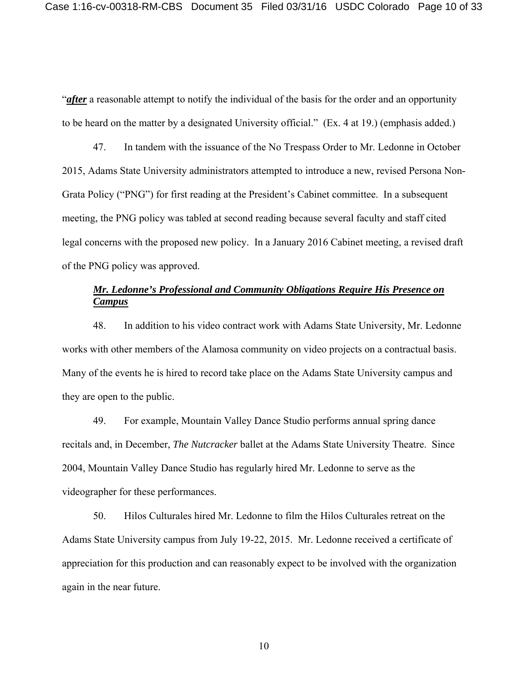"*after* a reasonable attempt to notify the individual of the basis for the order and an opportunity to be heard on the matter by a designated University official." (Ex. 4 at 19.) (emphasis added.)

47. In tandem with the issuance of the No Trespass Order to Mr. Ledonne in October 2015, Adams State University administrators attempted to introduce a new, revised Persona Non-Grata Policy ("PNG") for first reading at the President's Cabinet committee. In a subsequent meeting, the PNG policy was tabled at second reading because several faculty and staff cited legal concerns with the proposed new policy. In a January 2016 Cabinet meeting, a revised draft of the PNG policy was approved.

# *Mr. Ledonne's Professional and Community Obligations Require His Presence on Campus*

48. In addition to his video contract work with Adams State University, Mr. Ledonne works with other members of the Alamosa community on video projects on a contractual basis. Many of the events he is hired to record take place on the Adams State University campus and they are open to the public.

49. For example, Mountain Valley Dance Studio performs annual spring dance recitals and, in December, *The Nutcracker* ballet at the Adams State University Theatre. Since 2004, Mountain Valley Dance Studio has regularly hired Mr. Ledonne to serve as the videographer for these performances.

50. Hilos Culturales hired Mr. Ledonne to film the Hilos Culturales retreat on the Adams State University campus from July 19-22, 2015. Mr. Ledonne received a certificate of appreciation for this production and can reasonably expect to be involved with the organization again in the near future.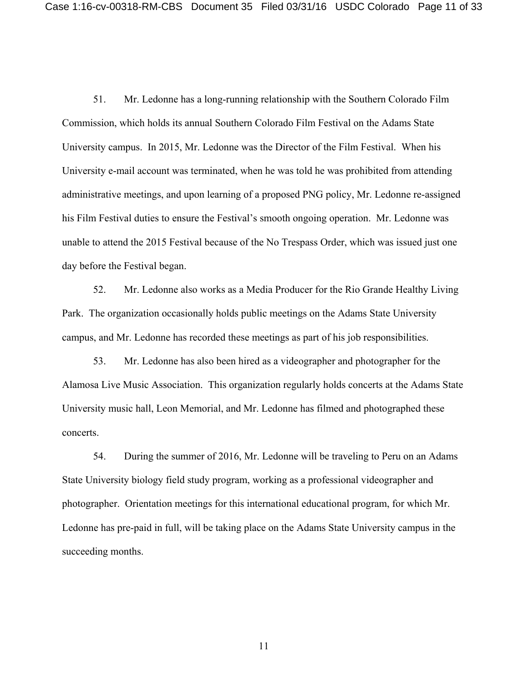51. Mr. Ledonne has a long-running relationship with the Southern Colorado Film Commission, which holds its annual Southern Colorado Film Festival on the Adams State University campus. In 2015, Mr. Ledonne was the Director of the Film Festival. When his University e-mail account was terminated, when he was told he was prohibited from attending administrative meetings, and upon learning of a proposed PNG policy, Mr. Ledonne re-assigned his Film Festival duties to ensure the Festival's smooth ongoing operation. Mr. Ledonne was unable to attend the 2015 Festival because of the No Trespass Order, which was issued just one day before the Festival began.

52. Mr. Ledonne also works as a Media Producer for the Rio Grande Healthy Living Park. The organization occasionally holds public meetings on the Adams State University campus, and Mr. Ledonne has recorded these meetings as part of his job responsibilities.

53. Mr. Ledonne has also been hired as a videographer and photographer for the Alamosa Live Music Association. This organization regularly holds concerts at the Adams State University music hall, Leon Memorial, and Mr. Ledonne has filmed and photographed these concerts.

54. During the summer of 2016, Mr. Ledonne will be traveling to Peru on an Adams State University biology field study program, working as a professional videographer and photographer. Orientation meetings for this international educational program, for which Mr. Ledonne has pre-paid in full, will be taking place on the Adams State University campus in the succeeding months.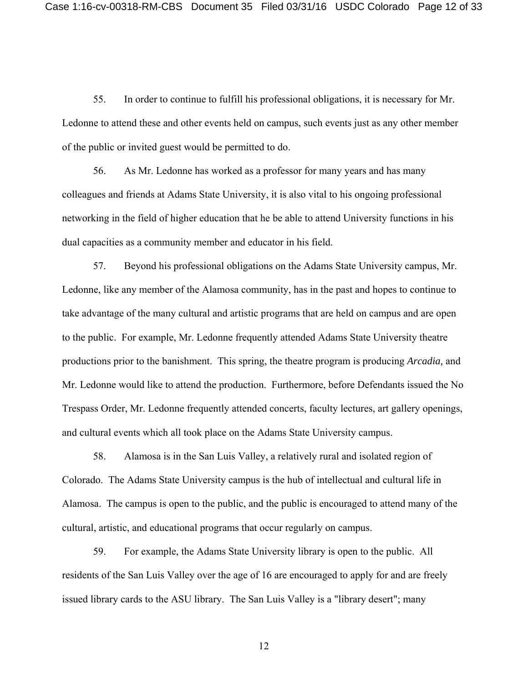55. In order to continue to fulfill his professional obligations, it is necessary for Mr. Ledonne to attend these and other events held on campus, such events just as any other member of the public or invited guest would be permitted to do.

56. As Mr. Ledonne has worked as a professor for many years and has many colleagues and friends at Adams State University, it is also vital to his ongoing professional networking in the field of higher education that he be able to attend University functions in his dual capacities as a community member and educator in his field.

57. Beyond his professional obligations on the Adams State University campus, Mr. Ledonne, like any member of the Alamosa community, has in the past and hopes to continue to take advantage of the many cultural and artistic programs that are held on campus and are open to the public. For example, Mr. Ledonne frequently attended Adams State University theatre productions prior to the banishment. This spring, the theatre program is producing *Arcadia,* and Mr. Ledonne would like to attend the production. Furthermore, before Defendants issued the No Trespass Order, Mr. Ledonne frequently attended concerts, faculty lectures, art gallery openings, and cultural events which all took place on the Adams State University campus.

58. Alamosa is in the San Luis Valley, a relatively rural and isolated region of Colorado. The Adams State University campus is the hub of intellectual and cultural life in Alamosa. The campus is open to the public, and the public is encouraged to attend many of the cultural, artistic, and educational programs that occur regularly on campus.

59. For example, the Adams State University library is open to the public. All residents of the San Luis Valley over the age of 16 are encouraged to apply for and are freely issued library cards to the ASU library. The San Luis Valley is a "library desert"; many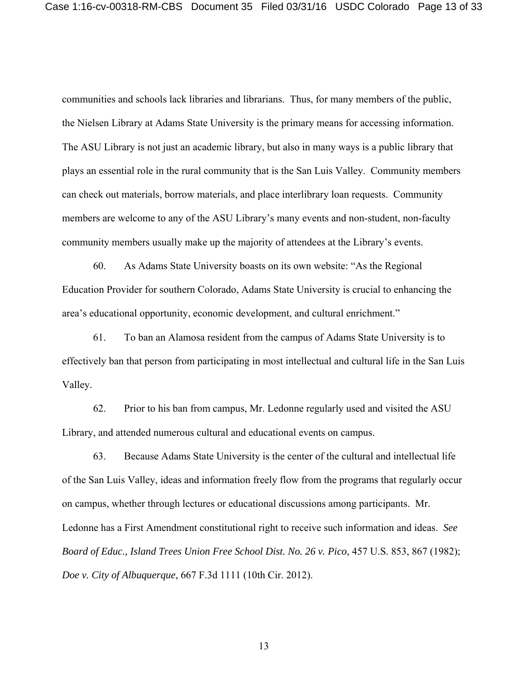communities and schools lack libraries and librarians. Thus, for many members of the public, the Nielsen Library at Adams State University is the primary means for accessing information. The ASU Library is not just an academic library, but also in many ways is a public library that plays an essential role in the rural community that is the San Luis Valley. Community members can check out materials, borrow materials, and place interlibrary loan requests. Community members are welcome to any of the ASU Library's many events and non-student, non-faculty community members usually make up the majority of attendees at the Library's events.

60. As Adams State University boasts on its own website: "As the Regional Education Provider for southern Colorado, Adams State University is crucial to enhancing the area's educational opportunity, economic development, and cultural enrichment."

61. To ban an Alamosa resident from the campus of Adams State University is to effectively ban that person from participating in most intellectual and cultural life in the San Luis Valley.

62. Prior to his ban from campus, Mr. Ledonne regularly used and visited the ASU Library, and attended numerous cultural and educational events on campus.

63. Because Adams State University is the center of the cultural and intellectual life of the San Luis Valley, ideas and information freely flow from the programs that regularly occur on campus, whether through lectures or educational discussions among participants. Mr. Ledonne has a First Amendment constitutional right to receive such information and ideas. *See Board of Educ., Island Trees Union Free School Dist. No. 26 v. Pico*, 457 U.S. 853, 867 (1982); *Doe v. City of Albuquerque*, 667 F.3d 1111 (10th Cir. 2012).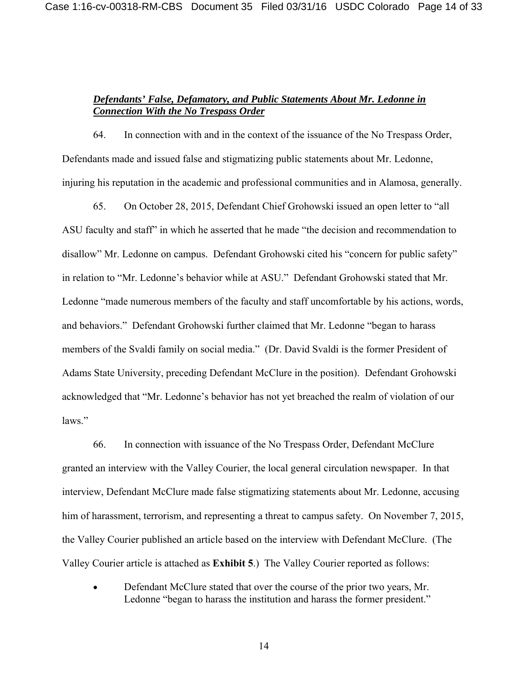## *Defendants' False, Defamatory, and Public Statements About Mr. Ledonne in Connection With the No Trespass Order*

64. In connection with and in the context of the issuance of the No Trespass Order, Defendants made and issued false and stigmatizing public statements about Mr. Ledonne, injuring his reputation in the academic and professional communities and in Alamosa, generally.

65. On October 28, 2015, Defendant Chief Grohowski issued an open letter to "all ASU faculty and staff" in which he asserted that he made "the decision and recommendation to disallow" Mr. Ledonne on campus. Defendant Grohowski cited his "concern for public safety" in relation to "Mr. Ledonne's behavior while at ASU." Defendant Grohowski stated that Mr. Ledonne "made numerous members of the faculty and staff uncomfortable by his actions, words, and behaviors." Defendant Grohowski further claimed that Mr. Ledonne "began to harass members of the Svaldi family on social media." (Dr. David Svaldi is the former President of Adams State University, preceding Defendant McClure in the position). Defendant Grohowski acknowledged that "Mr. Ledonne's behavior has not yet breached the realm of violation of our laws."

66. In connection with issuance of the No Trespass Order, Defendant McClure granted an interview with the Valley Courier, the local general circulation newspaper. In that interview, Defendant McClure made false stigmatizing statements about Mr. Ledonne, accusing him of harassment, terrorism, and representing a threat to campus safety. On November 7, 2015, the Valley Courier published an article based on the interview with Defendant McClure. (The Valley Courier article is attached as **Exhibit 5**.) The Valley Courier reported as follows:

 Defendant McClure stated that over the course of the prior two years, Mr. Ledonne "began to harass the institution and harass the former president."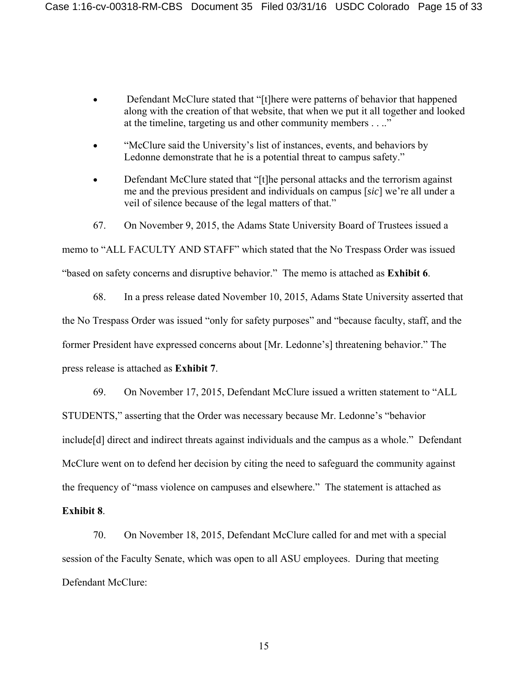- Defendant McClure stated that "[t]here were patterns of behavior that happened along with the creation of that website, that when we put it all together and looked at the timeline, targeting us and other community members . . .."
- "McClure said the University's list of instances, events, and behaviors by Ledonne demonstrate that he is a potential threat to campus safety."
- Defendant McClure stated that "[t]he personal attacks and the terrorism against me and the previous president and individuals on campus [*sic*] we're all under a veil of silence because of the legal matters of that."
- 67. On November 9, 2015, the Adams State University Board of Trustees issued a

memo to "ALL FACULTY AND STAFF" which stated that the No Trespass Order was issued "based on safety concerns and disruptive behavior." The memo is attached as **Exhibit 6**.

68. In a press release dated November 10, 2015, Adams State University asserted that the No Trespass Order was issued "only for safety purposes" and "because faculty, staff, and the former President have expressed concerns about [Mr. Ledonne's] threatening behavior." The press release is attached as **Exhibit 7**.

69. On November 17, 2015, Defendant McClure issued a written statement to "ALL STUDENTS," asserting that the Order was necessary because Mr. Ledonne's "behavior include[d] direct and indirect threats against individuals and the campus as a whole." Defendant McClure went on to defend her decision by citing the need to safeguard the community against the frequency of "mass violence on campuses and elsewhere." The statement is attached as

#### **Exhibit 8**.

70. On November 18, 2015, Defendant McClure called for and met with a special session of the Faculty Senate, which was open to all ASU employees. During that meeting Defendant McClure: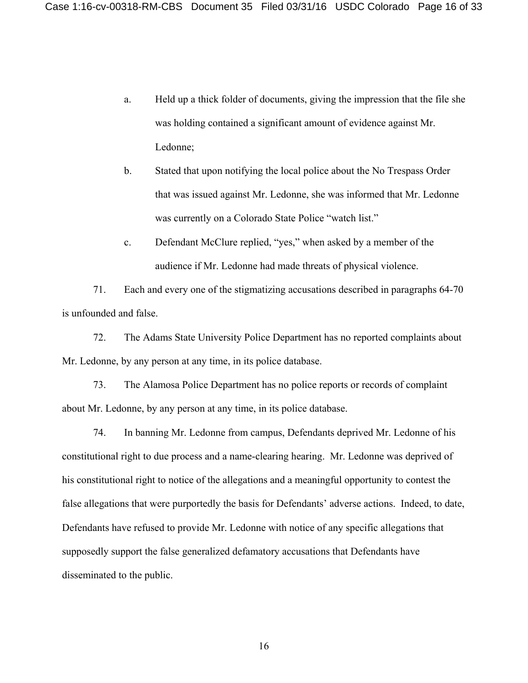- a. Held up a thick folder of documents, giving the impression that the file she was holding contained a significant amount of evidence against Mr. Ledonne;
- b. Stated that upon notifying the local police about the No Trespass Order that was issued against Mr. Ledonne, she was informed that Mr. Ledonne was currently on a Colorado State Police "watch list."
- c. Defendant McClure replied, "yes," when asked by a member of the audience if Mr. Ledonne had made threats of physical violence.

71. Each and every one of the stigmatizing accusations described in paragraphs 64-70 is unfounded and false.

72. The Adams State University Police Department has no reported complaints about Mr. Ledonne, by any person at any time, in its police database.

73. The Alamosa Police Department has no police reports or records of complaint about Mr. Ledonne, by any person at any time, in its police database.

74. In banning Mr. Ledonne from campus, Defendants deprived Mr. Ledonne of his constitutional right to due process and a name-clearing hearing. Mr. Ledonne was deprived of his constitutional right to notice of the allegations and a meaningful opportunity to contest the false allegations that were purportedly the basis for Defendants' adverse actions. Indeed, to date, Defendants have refused to provide Mr. Ledonne with notice of any specific allegations that supposedly support the false generalized defamatory accusations that Defendants have disseminated to the public.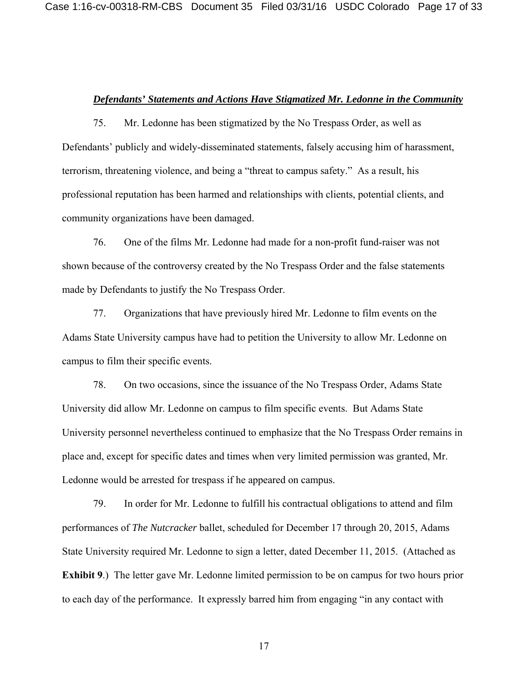### *Defendants' Statements and Actions Have Stigmatized Mr. Ledonne in the Community*

75. Mr. Ledonne has been stigmatized by the No Trespass Order, as well as Defendants' publicly and widely-disseminated statements, falsely accusing him of harassment, terrorism, threatening violence, and being a "threat to campus safety." As a result, his professional reputation has been harmed and relationships with clients, potential clients, and community organizations have been damaged.

76. One of the films Mr. Ledonne had made for a non-profit fund-raiser was not shown because of the controversy created by the No Trespass Order and the false statements made by Defendants to justify the No Trespass Order.

77. Organizations that have previously hired Mr. Ledonne to film events on the Adams State University campus have had to petition the University to allow Mr. Ledonne on campus to film their specific events.

78. On two occasions, since the issuance of the No Trespass Order, Adams State University did allow Mr. Ledonne on campus to film specific events. But Adams State University personnel nevertheless continued to emphasize that the No Trespass Order remains in place and, except for specific dates and times when very limited permission was granted, Mr. Ledonne would be arrested for trespass if he appeared on campus.

79. In order for Mr. Ledonne to fulfill his contractual obligations to attend and film performances of *The Nutcracker* ballet, scheduled for December 17 through 20, 2015, Adams State University required Mr. Ledonne to sign a letter, dated December 11, 2015. (Attached as **Exhibit 9**.) The letter gave Mr. Ledonne limited permission to be on campus for two hours prior to each day of the performance. It expressly barred him from engaging "in any contact with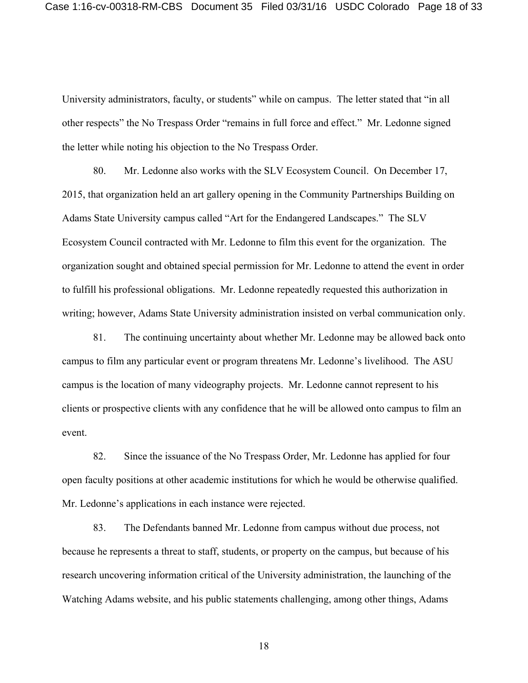University administrators, faculty, or students" while on campus. The letter stated that "in all other respects" the No Trespass Order "remains in full force and effect." Mr. Ledonne signed the letter while noting his objection to the No Trespass Order.

80. Mr. Ledonne also works with the SLV Ecosystem Council. On December 17, 2015, that organization held an art gallery opening in the Community Partnerships Building on Adams State University campus called "Art for the Endangered Landscapes." The SLV Ecosystem Council contracted with Mr. Ledonne to film this event for the organization. The organization sought and obtained special permission for Mr. Ledonne to attend the event in order to fulfill his professional obligations. Mr. Ledonne repeatedly requested this authorization in writing; however, Adams State University administration insisted on verbal communication only.

81. The continuing uncertainty about whether Mr. Ledonne may be allowed back onto campus to film any particular event or program threatens Mr. Ledonne's livelihood. The ASU campus is the location of many videography projects. Mr. Ledonne cannot represent to his clients or prospective clients with any confidence that he will be allowed onto campus to film an event.

82. Since the issuance of the No Trespass Order, Mr. Ledonne has applied for four open faculty positions at other academic institutions for which he would be otherwise qualified. Mr. Ledonne's applications in each instance were rejected.

83. The Defendants banned Mr. Ledonne from campus without due process, not because he represents a threat to staff, students, or property on the campus, but because of his research uncovering information critical of the University administration, the launching of the Watching Adams website, and his public statements challenging, among other things, Adams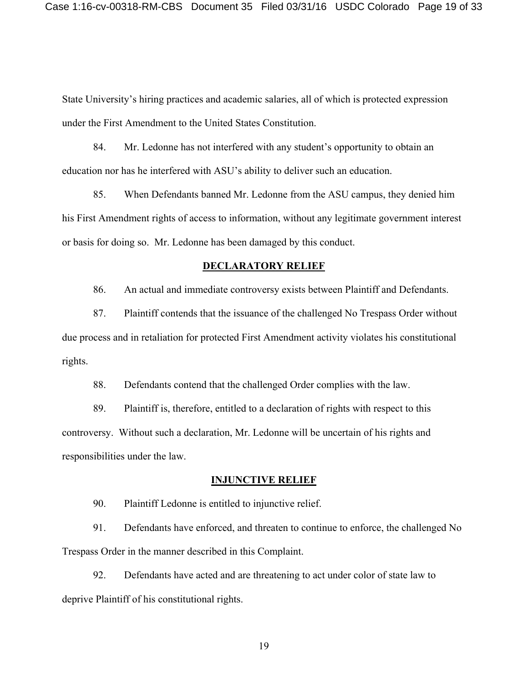State University's hiring practices and academic salaries, all of which is protected expression under the First Amendment to the United States Constitution.

84. Mr. Ledonne has not interfered with any student's opportunity to obtain an education nor has he interfered with ASU's ability to deliver such an education.

85. When Defendants banned Mr. Ledonne from the ASU campus, they denied him his First Amendment rights of access to information, without any legitimate government interest or basis for doing so. Mr. Ledonne has been damaged by this conduct.

### **DECLARATORY RELIEF**

86. An actual and immediate controversy exists between Plaintiff and Defendants.

87. Plaintiff contends that the issuance of the challenged No Trespass Order without due process and in retaliation for protected First Amendment activity violates his constitutional rights.

88. Defendants contend that the challenged Order complies with the law.

89. Plaintiff is, therefore, entitled to a declaration of rights with respect to this controversy. Without such a declaration, Mr. Ledonne will be uncertain of his rights and responsibilities under the law.

### **INJUNCTIVE RELIEF**

90. Plaintiff Ledonne is entitled to injunctive relief.

91. Defendants have enforced, and threaten to continue to enforce, the challenged No Trespass Order in the manner described in this Complaint.

92. Defendants have acted and are threatening to act under color of state law to deprive Plaintiff of his constitutional rights.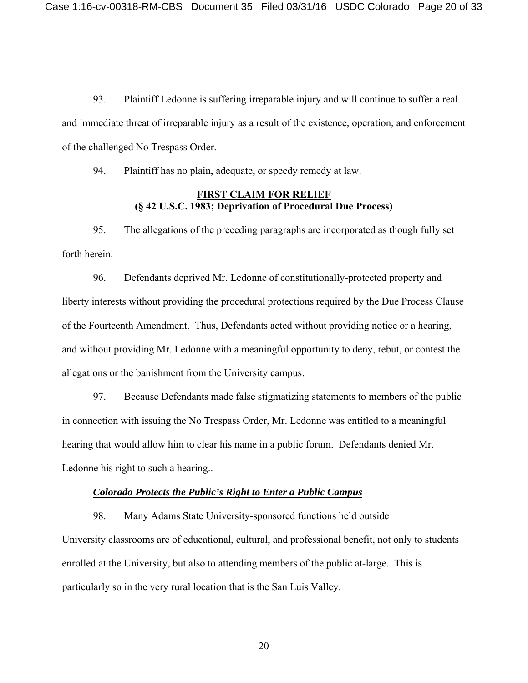93. Plaintiff Ledonne is suffering irreparable injury and will continue to suffer a real and immediate threat of irreparable injury as a result of the existence, operation, and enforcement of the challenged No Trespass Order.

94. Plaintiff has no plain, adequate, or speedy remedy at law.

### **FIRST CLAIM FOR RELIEF (§ 42 U.S.C. 1983; Deprivation of Procedural Due Process)**

95. The allegations of the preceding paragraphs are incorporated as though fully set forth herein.

96. Defendants deprived Mr. Ledonne of constitutionally-protected property and liberty interests without providing the procedural protections required by the Due Process Clause of the Fourteenth Amendment. Thus, Defendants acted without providing notice or a hearing, and without providing Mr. Ledonne with a meaningful opportunity to deny, rebut, or contest the allegations or the banishment from the University campus.

97. Because Defendants made false stigmatizing statements to members of the public in connection with issuing the No Trespass Order, Mr. Ledonne was entitled to a meaningful hearing that would allow him to clear his name in a public forum. Defendants denied Mr. Ledonne his right to such a hearing..

#### *Colorado Protects the Public's Right to Enter a Public Campus*

98. Many Adams State University-sponsored functions held outside University classrooms are of educational, cultural, and professional benefit, not only to students enrolled at the University, but also to attending members of the public at-large. This is particularly so in the very rural location that is the San Luis Valley.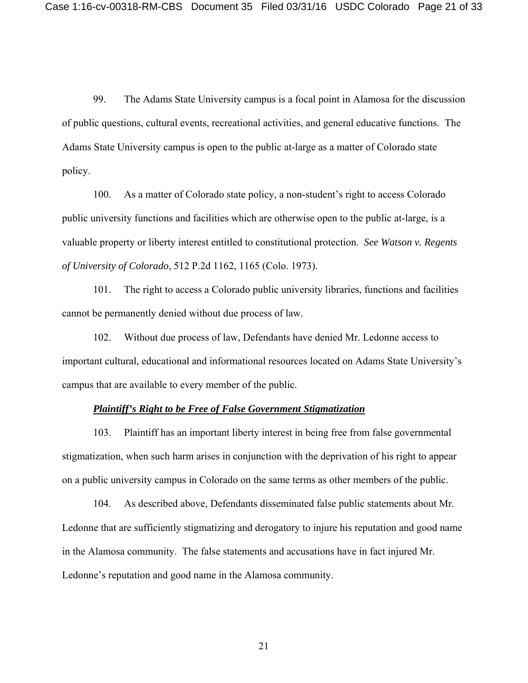99. The Adams State University campus is a focal point in Alamosa for the discussion of public questions, cultural events, recreational activities, and general educative functions. The Adams State University campus is open to the public at-large as a matter of Colorado state policy.

100. As a matter of Colorado state policy, a non-student's right to access Colorado public university functions and facilities which are otherwise open to the public at-large, is a valuable property or liberty interest entitled to constitutional protection. *See Watson v. Regents of University of Colorado*, 512 P.2d 1162, 1165 (Colo. 1973).

101. The right to access a Colorado public university libraries, functions and facilities cannot be permanently denied without due process of law.

102. Without due process of law, Defendants have denied Mr. Ledonne access to important cultural, educational and informational resources located on Adams State University's campus that are available to every member of the public.

#### *Plaintiff's Right to be Free of False Government Stigmatization*

103. Plaintiff has an important liberty interest in being free from false governmental stigmatization, when such harm arises in conjunction with the deprivation of his right to appear on a public university campus in Colorado on the same terms as other members of the public.

104. As described above, Defendants disseminated false public statements about Mr. Ledonne that are sufficiently stigmatizing and derogatory to injure his reputation and good name in the Alamosa community. The false statements and accusations have in fact injured Mr. Ledonne's reputation and good name in the Alamosa community.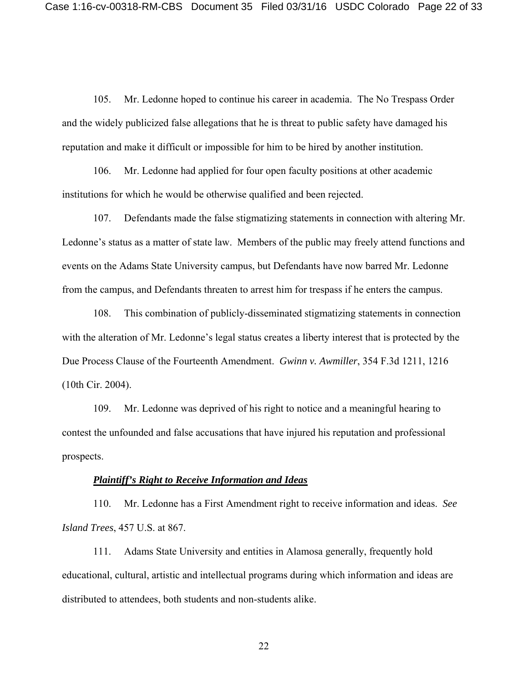105. Mr. Ledonne hoped to continue his career in academia. The No Trespass Order and the widely publicized false allegations that he is threat to public safety have damaged his reputation and make it difficult or impossible for him to be hired by another institution.

106. Mr. Ledonne had applied for four open faculty positions at other academic institutions for which he would be otherwise qualified and been rejected.

107. Defendants made the false stigmatizing statements in connection with altering Mr. Ledonne's status as a matter of state law. Members of the public may freely attend functions and events on the Adams State University campus, but Defendants have now barred Mr. Ledonne from the campus, and Defendants threaten to arrest him for trespass if he enters the campus.

108. This combination of publicly-disseminated stigmatizing statements in connection with the alteration of Mr. Ledonne's legal status creates a liberty interest that is protected by the Due Process Clause of the Fourteenth Amendment. *Gwinn v. Awmiller*, 354 F.3d 1211, 1216 (10th Cir. 2004).

109. Mr. Ledonne was deprived of his right to notice and a meaningful hearing to contest the unfounded and false accusations that have injured his reputation and professional prospects.

## *Plaintiff's Right to Receive Information and Ideas*

110. Mr. Ledonne has a First Amendment right to receive information and ideas. *See Island Trees*, 457 U.S. at 867.

111. Adams State University and entities in Alamosa generally, frequently hold educational, cultural, artistic and intellectual programs during which information and ideas are distributed to attendees, both students and non-students alike.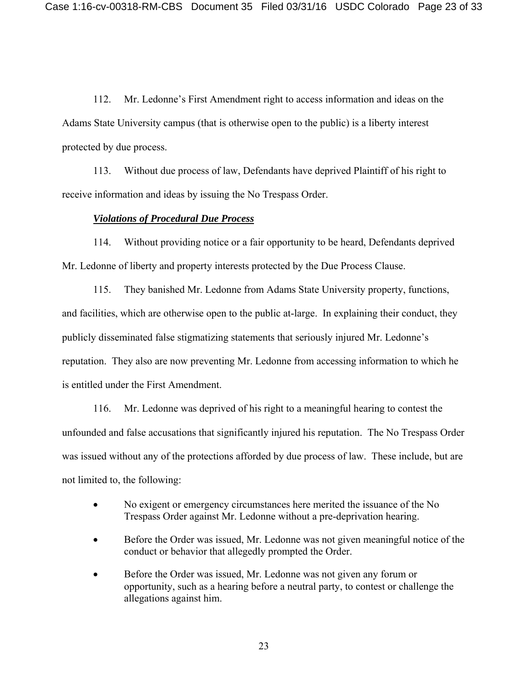112. Mr. Ledonne's First Amendment right to access information and ideas on the Adams State University campus (that is otherwise open to the public) is a liberty interest protected by due process.

113. Without due process of law, Defendants have deprived Plaintiff of his right to receive information and ideas by issuing the No Trespass Order.

#### *Violations of Procedural Due Process*

114. Without providing notice or a fair opportunity to be heard, Defendants deprived Mr. Ledonne of liberty and property interests protected by the Due Process Clause.

115. They banished Mr. Ledonne from Adams State University property, functions, and facilities, which are otherwise open to the public at-large. In explaining their conduct, they publicly disseminated false stigmatizing statements that seriously injured Mr. Ledonne's reputation. They also are now preventing Mr. Ledonne from accessing information to which he is entitled under the First Amendment.

116. Mr. Ledonne was deprived of his right to a meaningful hearing to contest the unfounded and false accusations that significantly injured his reputation. The No Trespass Order was issued without any of the protections afforded by due process of law. These include, but are not limited to, the following:

- No exigent or emergency circumstances here merited the issuance of the No Trespass Order against Mr. Ledonne without a pre-deprivation hearing.
- Before the Order was issued, Mr. Ledonne was not given meaningful notice of the conduct or behavior that allegedly prompted the Order.
- Before the Order was issued, Mr. Ledonne was not given any forum or opportunity, such as a hearing before a neutral party, to contest or challenge the allegations against him.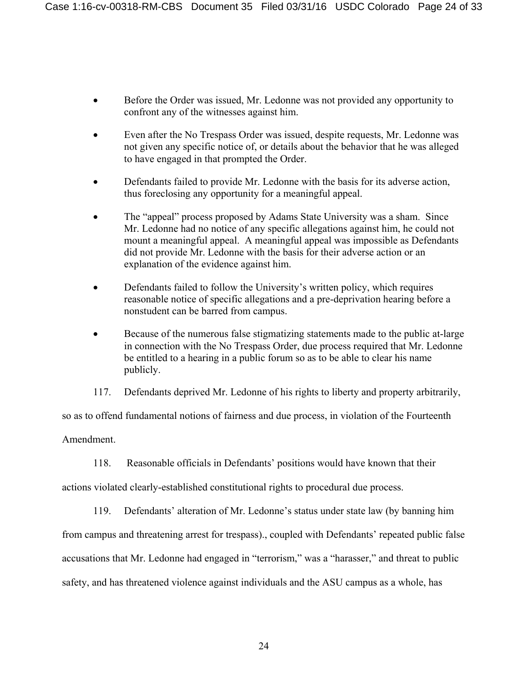- Before the Order was issued, Mr. Ledonne was not provided any opportunity to confront any of the witnesses against him.
- Even after the No Trespass Order was issued, despite requests, Mr. Ledonne was not given any specific notice of, or details about the behavior that he was alleged to have engaged in that prompted the Order.
- Defendants failed to provide Mr. Ledonne with the basis for its adverse action, thus foreclosing any opportunity for a meaningful appeal.
- The "appeal" process proposed by Adams State University was a sham. Since Mr. Ledonne had no notice of any specific allegations against him, he could not mount a meaningful appeal. A meaningful appeal was impossible as Defendants did not provide Mr. Ledonne with the basis for their adverse action or an explanation of the evidence against him.
- Defendants failed to follow the University's written policy, which requires reasonable notice of specific allegations and a pre-deprivation hearing before a nonstudent can be barred from campus.
- Because of the numerous false stigmatizing statements made to the public at-large in connection with the No Trespass Order, due process required that Mr. Ledonne be entitled to a hearing in a public forum so as to be able to clear his name publicly.
- 117. Defendants deprived Mr. Ledonne of his rights to liberty and property arbitrarily,

so as to offend fundamental notions of fairness and due process, in violation of the Fourteenth

Amendment.

118. Reasonable officials in Defendants' positions would have known that their

actions violated clearly-established constitutional rights to procedural due process.

119. Defendants' alteration of Mr. Ledonne's status under state law (by banning him

from campus and threatening arrest for trespass)., coupled with Defendants' repeated public false

accusations that Mr. Ledonne had engaged in "terrorism," was a "harasser," and threat to public

safety, and has threatened violence against individuals and the ASU campus as a whole, has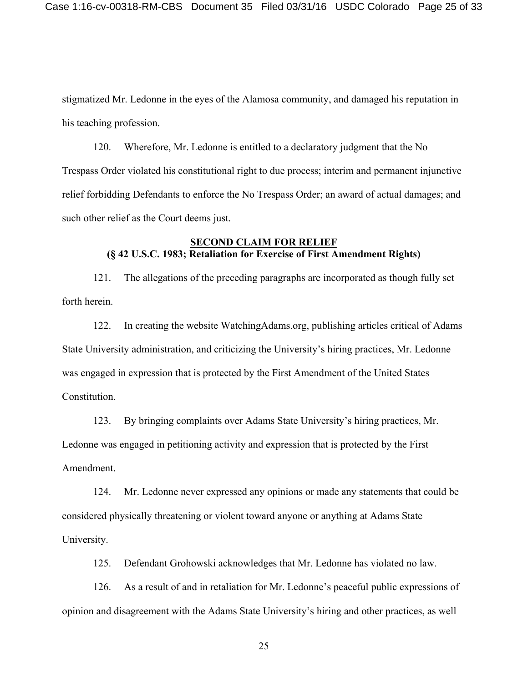stigmatized Mr. Ledonne in the eyes of the Alamosa community, and damaged his reputation in his teaching profession.

120. Wherefore, Mr. Ledonne is entitled to a declaratory judgment that the No Trespass Order violated his constitutional right to due process; interim and permanent injunctive relief forbidding Defendants to enforce the No Trespass Order; an award of actual damages; and such other relief as the Court deems just.

# **SECOND CLAIM FOR RELIEF (§ 42 U.S.C. 1983; Retaliation for Exercise of First Amendment Rights)**

121. The allegations of the preceding paragraphs are incorporated as though fully set forth herein.

122. In creating the website WatchingAdams.org, publishing articles critical of Adams State University administration, and criticizing the University's hiring practices, Mr. Ledonne was engaged in expression that is protected by the First Amendment of the United States Constitution.

123. By bringing complaints over Adams State University's hiring practices, Mr. Ledonne was engaged in petitioning activity and expression that is protected by the First Amendment.

124. Mr. Ledonne never expressed any opinions or made any statements that could be considered physically threatening or violent toward anyone or anything at Adams State University.

125. Defendant Grohowski acknowledges that Mr. Ledonne has violated no law.

126. As a result of and in retaliation for Mr. Ledonne's peaceful public expressions of opinion and disagreement with the Adams State University's hiring and other practices, as well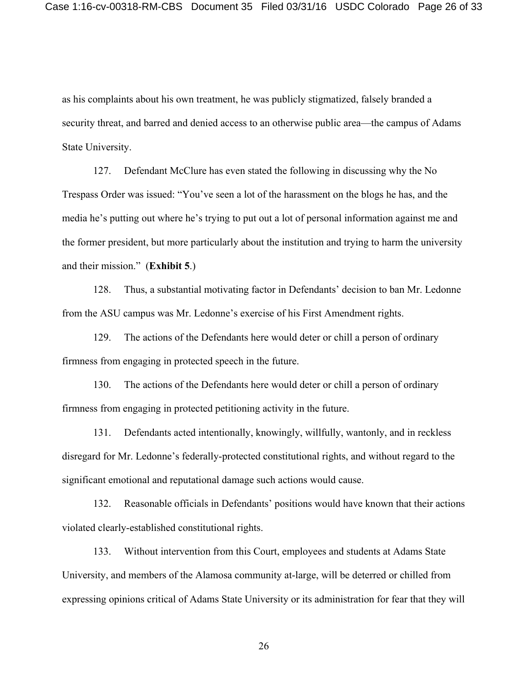as his complaints about his own treatment, he was publicly stigmatized, falsely branded a security threat, and barred and denied access to an otherwise public area—the campus of Adams State University.

127. Defendant McClure has even stated the following in discussing why the No Trespass Order was issued: "You've seen a lot of the harassment on the blogs he has, and the media he's putting out where he's trying to put out a lot of personal information against me and the former president, but more particularly about the institution and trying to harm the university and their mission." (**Exhibit 5**.)

128. Thus, a substantial motivating factor in Defendants' decision to ban Mr. Ledonne from the ASU campus was Mr. Ledonne's exercise of his First Amendment rights.

129. The actions of the Defendants here would deter or chill a person of ordinary firmness from engaging in protected speech in the future.

130. The actions of the Defendants here would deter or chill a person of ordinary firmness from engaging in protected petitioning activity in the future.

131. Defendants acted intentionally, knowingly, willfully, wantonly, and in reckless disregard for Mr. Ledonne's federally-protected constitutional rights, and without regard to the significant emotional and reputational damage such actions would cause.

132. Reasonable officials in Defendants' positions would have known that their actions violated clearly-established constitutional rights.

133. Without intervention from this Court, employees and students at Adams State University, and members of the Alamosa community at-large, will be deterred or chilled from expressing opinions critical of Adams State University or its administration for fear that they will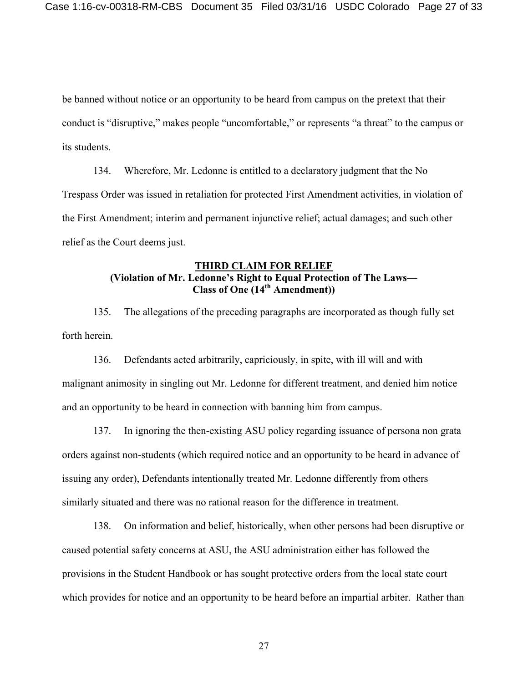be banned without notice or an opportunity to be heard from campus on the pretext that their conduct is "disruptive," makes people "uncomfortable," or represents "a threat" to the campus or its students.

134. Wherefore, Mr. Ledonne is entitled to a declaratory judgment that the No Trespass Order was issued in retaliation for protected First Amendment activities, in violation of the First Amendment; interim and permanent injunctive relief; actual damages; and such other relief as the Court deems just.

# **THIRD CLAIM FOR RELIEF (Violation of Mr. Ledonne's Right to Equal Protection of The Laws— Class of One (14th Amendment))**

135. The allegations of the preceding paragraphs are incorporated as though fully set forth herein.

136. Defendants acted arbitrarily, capriciously, in spite, with ill will and with malignant animosity in singling out Mr. Ledonne for different treatment, and denied him notice and an opportunity to be heard in connection with banning him from campus.

137. In ignoring the then-existing ASU policy regarding issuance of persona non grata orders against non-students (which required notice and an opportunity to be heard in advance of issuing any order), Defendants intentionally treated Mr. Ledonne differently from others similarly situated and there was no rational reason for the difference in treatment.

138. On information and belief, historically, when other persons had been disruptive or caused potential safety concerns at ASU, the ASU administration either has followed the provisions in the Student Handbook or has sought protective orders from the local state court which provides for notice and an opportunity to be heard before an impartial arbiter. Rather than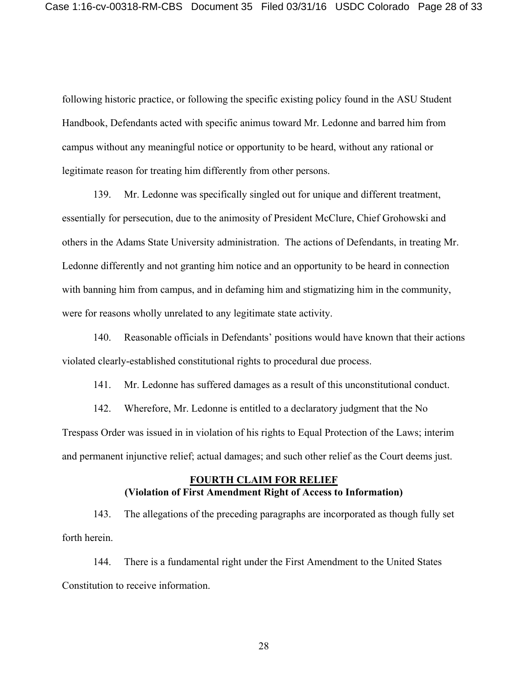following historic practice, or following the specific existing policy found in the ASU Student Handbook, Defendants acted with specific animus toward Mr. Ledonne and barred him from campus without any meaningful notice or opportunity to be heard, without any rational or legitimate reason for treating him differently from other persons.

139. Mr. Ledonne was specifically singled out for unique and different treatment, essentially for persecution, due to the animosity of President McClure, Chief Grohowski and others in the Adams State University administration. The actions of Defendants, in treating Mr. Ledonne differently and not granting him notice and an opportunity to be heard in connection with banning him from campus, and in defaming him and stigmatizing him in the community, were for reasons wholly unrelated to any legitimate state activity.

140. Reasonable officials in Defendants' positions would have known that their actions violated clearly-established constitutional rights to procedural due process.

141. Mr. Ledonne has suffered damages as a result of this unconstitutional conduct.

142. Wherefore, Mr. Ledonne is entitled to a declaratory judgment that the No Trespass Order was issued in in violation of his rights to Equal Protection of the Laws; interim and permanent injunctive relief; actual damages; and such other relief as the Court deems just.

## **FOURTH CLAIM FOR RELIEF (Violation of First Amendment Right of Access to Information)**

143. The allegations of the preceding paragraphs are incorporated as though fully set forth herein.

144. There is a fundamental right under the First Amendment to the United States Constitution to receive information.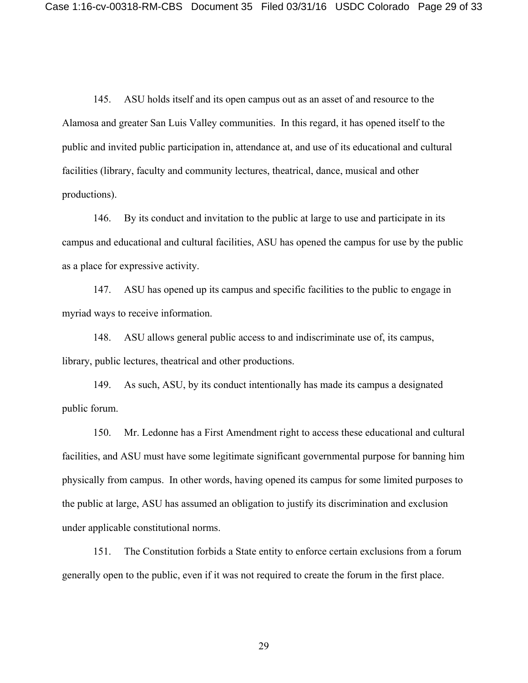145. ASU holds itself and its open campus out as an asset of and resource to the Alamosa and greater San Luis Valley communities. In this regard, it has opened itself to the public and invited public participation in, attendance at, and use of its educational and cultural facilities (library, faculty and community lectures, theatrical, dance, musical and other productions).

146. By its conduct and invitation to the public at large to use and participate in its campus and educational and cultural facilities, ASU has opened the campus for use by the public as a place for expressive activity.

147. ASU has opened up its campus and specific facilities to the public to engage in myriad ways to receive information.

148. ASU allows general public access to and indiscriminate use of, its campus, library, public lectures, theatrical and other productions.

149. As such, ASU, by its conduct intentionally has made its campus a designated public forum.

150. Mr. Ledonne has a First Amendment right to access these educational and cultural facilities, and ASU must have some legitimate significant governmental purpose for banning him physically from campus. In other words, having opened its campus for some limited purposes to the public at large, ASU has assumed an obligation to justify its discrimination and exclusion under applicable constitutional norms.

151. The Constitution forbids a State entity to enforce certain exclusions from a forum generally open to the public, even if it was not required to create the forum in the first place.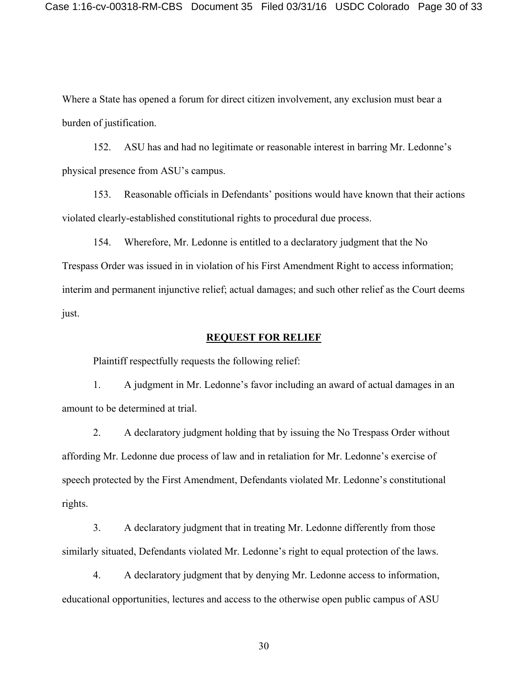Where a State has opened a forum for direct citizen involvement, any exclusion must bear a burden of justification.

152. ASU has and had no legitimate or reasonable interest in barring Mr. Ledonne's physical presence from ASU's campus.

153. Reasonable officials in Defendants' positions would have known that their actions violated clearly-established constitutional rights to procedural due process.

154. Wherefore, Mr. Ledonne is entitled to a declaratory judgment that the No Trespass Order was issued in in violation of his First Amendment Right to access information; interim and permanent injunctive relief; actual damages; and such other relief as the Court deems just.

#### **REQUEST FOR RELIEF**

Plaintiff respectfully requests the following relief:

1. A judgment in Mr. Ledonne's favor including an award of actual damages in an amount to be determined at trial.

2. A declaratory judgment holding that by issuing the No Trespass Order without affording Mr. Ledonne due process of law and in retaliation for Mr. Ledonne's exercise of speech protected by the First Amendment, Defendants violated Mr. Ledonne's constitutional rights.

3. A declaratory judgment that in treating Mr. Ledonne differently from those similarly situated, Defendants violated Mr. Ledonne's right to equal protection of the laws.

4. A declaratory judgment that by denying Mr. Ledonne access to information, educational opportunities, lectures and access to the otherwise open public campus of ASU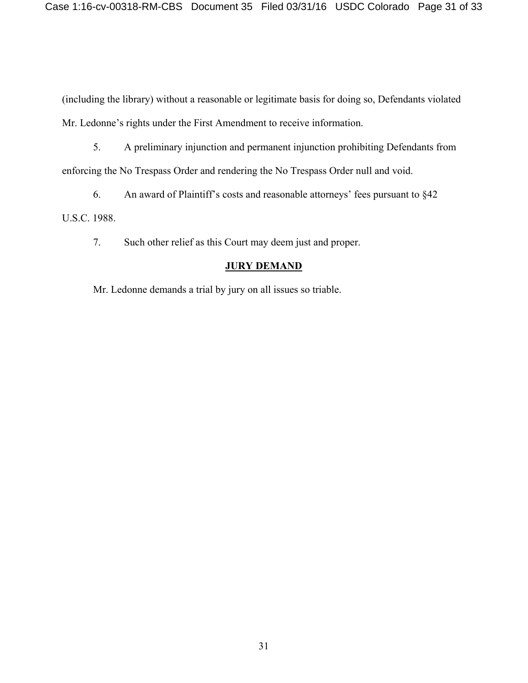(including the library) without a reasonable or legitimate basis for doing so, Defendants violated Mr. Ledonne's rights under the First Amendment to receive information.

5. A preliminary injunction and permanent injunction prohibiting Defendants from enforcing the No Trespass Order and rendering the No Trespass Order null and void.

6. An award of Plaintiff's costs and reasonable attorneys' fees pursuant to §42 U.S.C. 1988.

7. Such other relief as this Court may deem just and proper.

# **JURY DEMAND**

Mr. Ledonne demands a trial by jury on all issues so triable.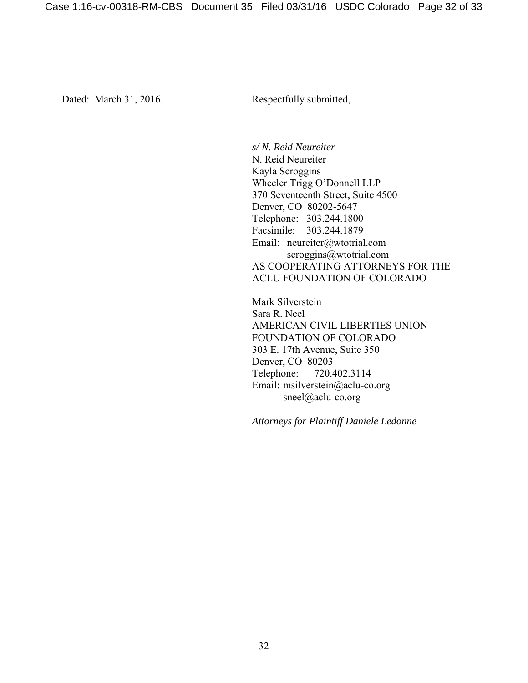Dated: March 31, 2016. Respectfully submitted,

*s/ N. Reid Neureiter*

 N. Reid Neureiter Kayla Scroggins Wheeler Trigg O'Donnell LLP 370 Seventeenth Street, Suite 4500 Denver, CO 80202-5647 Telephone: 303.244.1800 Facsimile: 303.244.1879 Email: neureiter@wtotrial.com scroggins@wtotrial.com AS COOPERATING ATTORNEYS FOR THE ACLU FOUNDATION OF COLORADO

 Mark Silverstein Sara R. Neel AMERICAN CIVIL LIBERTIES UNION FOUNDATION OF COLORADO 303 E. 17th Avenue, Suite 350 Denver, CO 80203 Telephone: 720.402.3114 Email: msilverstein@aclu-co.org sneel@aclu-co.org

*Attorneys for Plaintiff Daniele Ledonne*